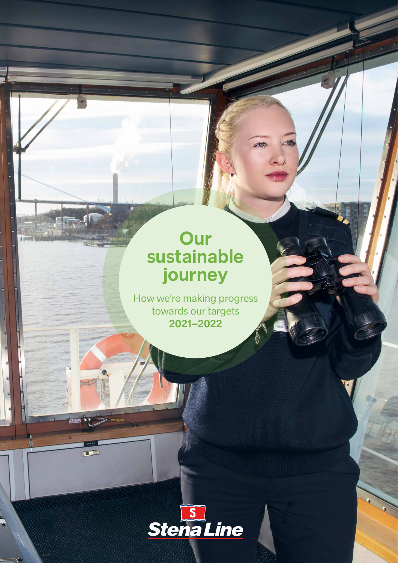## **Our sustainable journey**

work

How we're making progress towards our targets **2021–2022**



 $\Box$